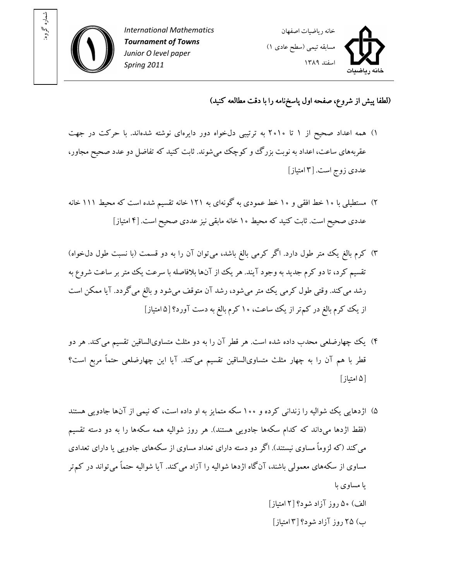



## (لطفا پيش از شروع، صفحه اول پاسخ نامه را با دقت مطالعه کنيد)

- ۱) همه اعداد صحيح از ۱ تا ۲۰۱۰ به ترتيبي دلخواه دور دايرهاي نوشته شدهاند. با حرکت در جهت عقربههاي ساعت، اعداد به نوبت بزرگ و کوچک مي شوند. ثابت کنيد که تفاضل دو عدد صحيح مجاور، عدد ي زوج است. ۳[ امتياز]
- ۲) مستطيلي با ۱۰ خط افقي و ۱۰ خط عمودي به گونهاي به ۱۲۱ خانه تقسيم شده است که محيط ۱۱۱ خانه عددي صحيح است. ثابت کنيد که محيط ۱۰ خانه مابقي نيز عددي صحيح است. [۴ امتياز]
- ۳) کرم بالغ يک متر طول دارد. اگر کرمي بالغ باشد، مي توان آن را به دو قسمت (با نسبت طول دلخواه) تقسيم کرد، تا دو کرم جديد به وجود آيند. هر يک از آنها بلافاصله با سرعت يک متر بر ساعت شروع به رشد مي کند. وقتي طول کرمي يک متر مي شود، رشد آن متوقف مي شود و بالغ مي گردد. آيا ممکن است از يک کرم بالغ در کم تر از يک ساعت، ۱۰کرم بالغ به دست آورد؟ [۵ امتياز]
- )۴ يک چهارضلعي محدب داده شده است. هر قطر آن را به دو مثلث متساويالساقين تقسيم ميکند. هر دو قطر با هم آن را به چهار مثلث متساويالساقين تقسيم ميکند. آيا اين چهارضلعي حتماً مربع است ؟ ۵[ امتياز]
- )۵ اژدهايي يک شواليه را زنداني کرده و ۱۰۰ سکه متمايز به او داده است، که نيمي از آنها جادويي هستند (فقط اژدها ميداند که کدام سکهها جادويي هستند). هر روز شواليه همه سکهها را به دو دسته تقسيم ميکند (که لزوماً مساوي نيستند). اگر دو دسته داراي تعداد مساوي از سکههاي جادويي يا داراي تعدادي مساوی از سکههای معمولی باشند، آنگاه اژدها شواليه را آزاد می کند. آيا شواليه حتماً می تواند در کم تر يا مساوی با الف) ۵۰ روز آزاد شود؟ ۲[ امتياز] ب) ۲۵ روز آزاد شود ۳[ ؟ امتياز]